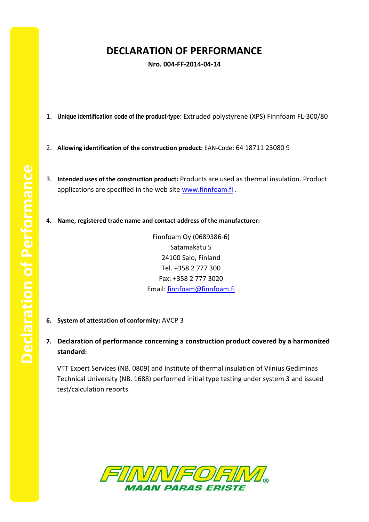## **DECLARATION OF PERFORMANCE**

**Nro. 004-FF-2014-04-14**

- 1. **Unique identification code of the product-type:** Extruded polystyrene (XPS) Finnfoam FL-300/80
- 2. **Allowing identification of the construction product:** EAN-Code: 64 18711 23080 9
- 3. **Intended uses of the construction product:** Products are used as thermal insulation. Product applications are specified in the web site [www.finnfoam.fi](http://www.finnfoam.fi/).
- **4. Name, registered trade name and contact address of the manufacturer:**

Finnfoam Oy (0689386-6) Satamakatu 5 24100 Salo, Finland Tel. +358 2 777 300 Fax: +358 2 777 3020 Email: [finnfoam@finnfoam.fi](mailto:finnfoam@finnfoam.fi)

- **6. System of attestation of conformity:** AVCP 3
- **7. Declaration of performance concerning a construction product covered by a harmonized standard:**

VTT Expert Services (NB. 0809) and Institute of thermal insulation of Vilnius Gediminas Technical University (NB. 1688) performed initial type testing under system 3 and issued test/calculation reports.